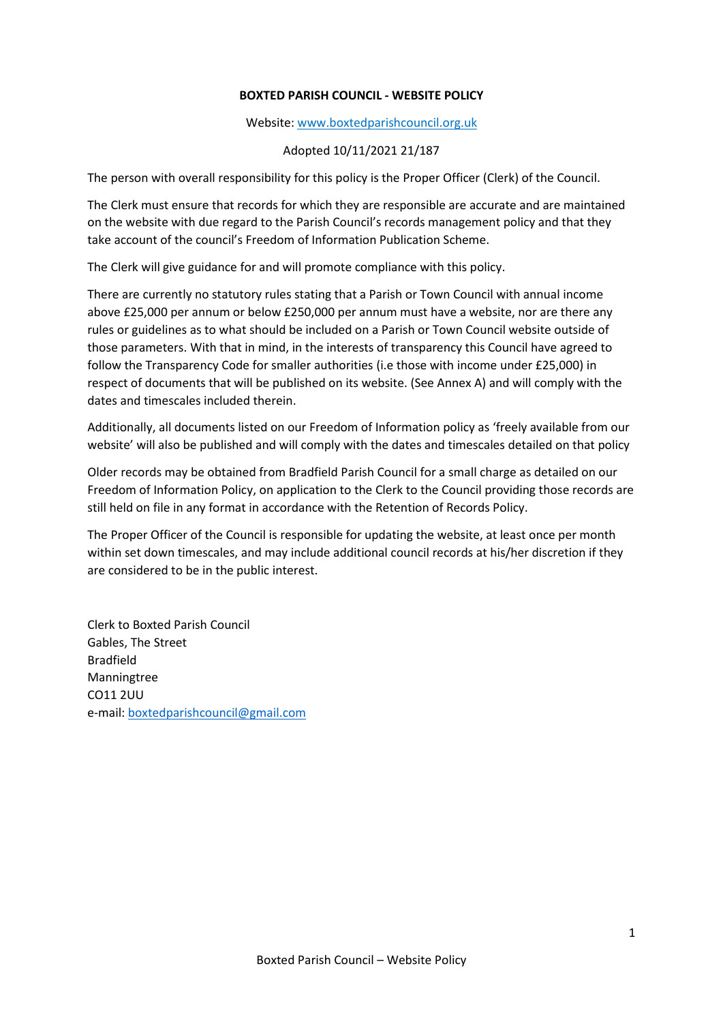## **BOXTED PARISH COUNCIL - WEBSITE POLICY**

Website: [www.b](http://www./)oxtedparishcouncil.org.uk

## Adopted 10/11/2021 21/187

The person with overall responsibility for this policy is the Proper Officer (Clerk) of the Council.

The Clerk must ensure that records for which they are responsible are accurate and are maintained on the website with due regard to the Parish Council's records management policy and that they take account of the council's Freedom of Information Publication Scheme.

The Clerk will give guidance for and will promote compliance with this policy.

There are currently no statutory rules stating that a Parish or Town Council with annual income above £25,000 per annum or below £250,000 per annum must have a website, nor are there any rules or guidelines as to what should be included on a Parish or Town Council website outside of those parameters. With that in mind, in the interests of transparency this Council have agreed to follow the Transparency Code for smaller authorities (i.e those with income under £25,000) in respect of documents that will be published on its website. (See Annex A) and will comply with the dates and timescales included therein.

Additionally, all documents listed on our Freedom of Information policy as 'freely available from our website' will also be published and will comply with the dates and timescales detailed on that policy

Older records may be obtained from Bradfield Parish Council for a small charge as detailed on our Freedom of Information Policy, on application to the Clerk to the Council providing those records are still held on file in any format in accordance with the Retention of Records Policy.

The Proper Officer of the Council is responsible for updating the website, at least once per month within set down timescales, and may include additional council records at his/her discretion if they are considered to be in the public interest.

Clerk to Boxted Parish Council Gables, The Street Bradfield Manningtree CO11 2UU e-mail: [boxtedparishcouncil@gmail.com](mailto:boxtedparishcouncil@gmail.com)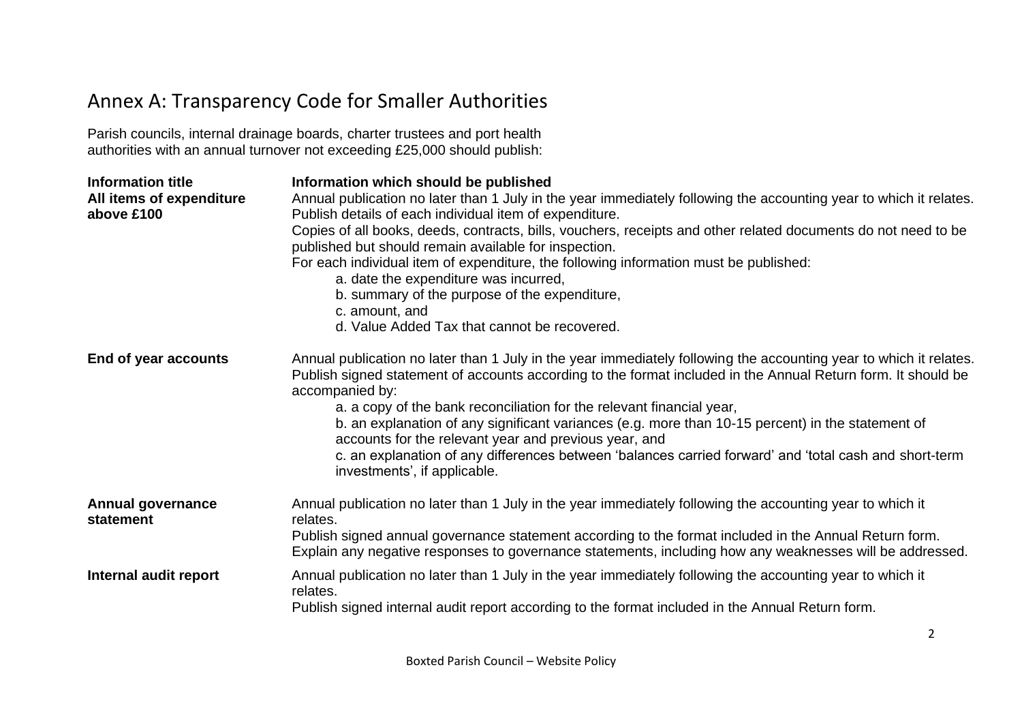## Annex A: Transparency Code for Smaller Authorities

Parish councils, internal drainage boards, charter trustees and port health authorities with an annual turnover not exceeding £25,000 should publish:

| <b>Information title</b><br>All items of expenditure<br>above £100 | Information which should be published<br>Annual publication no later than 1 July in the year immediately following the accounting year to which it relates.<br>Publish details of each individual item of expenditure.<br>Copies of all books, deeds, contracts, bills, vouchers, receipts and other related documents do not need to be<br>published but should remain available for inspection.<br>For each individual item of expenditure, the following information must be published:<br>a. date the expenditure was incurred,<br>b. summary of the purpose of the expenditure,<br>c. amount, and<br>d. Value Added Tax that cannot be recovered. |
|--------------------------------------------------------------------|--------------------------------------------------------------------------------------------------------------------------------------------------------------------------------------------------------------------------------------------------------------------------------------------------------------------------------------------------------------------------------------------------------------------------------------------------------------------------------------------------------------------------------------------------------------------------------------------------------------------------------------------------------|
| End of year accounts                                               | Annual publication no later than 1 July in the year immediately following the accounting year to which it relates.<br>Publish signed statement of accounts according to the format included in the Annual Return form. It should be<br>accompanied by:<br>a. a copy of the bank reconciliation for the relevant financial year,<br>b. an explanation of any significant variances (e.g. more than 10-15 percent) in the statement of<br>accounts for the relevant year and previous year, and<br>c. an explanation of any differences between 'balances carried forward' and 'total cash and short-term<br>investments', if applicable.                |
| <b>Annual governance</b><br>statement                              | Annual publication no later than 1 July in the year immediately following the accounting year to which it<br>relates.<br>Publish signed annual governance statement according to the format included in the Annual Return form.<br>Explain any negative responses to governance statements, including how any weaknesses will be addressed.                                                                                                                                                                                                                                                                                                            |
| Internal audit report                                              | Annual publication no later than 1 July in the year immediately following the accounting year to which it<br>relates.<br>Publish signed internal audit report according to the format included in the Annual Return form.                                                                                                                                                                                                                                                                                                                                                                                                                              |